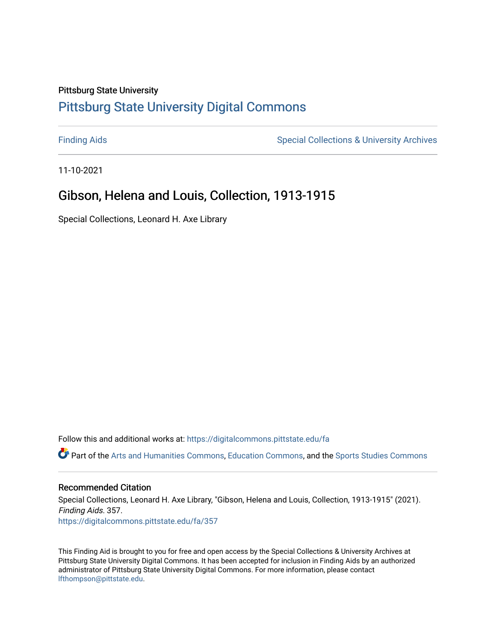## Pittsburg State University

# [Pittsburg State University Digital Commons](https://digitalcommons.pittstate.edu/)

[Finding Aids](https://digitalcommons.pittstate.edu/fa) **Special Collections & University Archives** Special Collections & University Archives

11-10-2021

# Gibson, Helena and Louis, Collection, 1913-1915

Special Collections, Leonard H. Axe Library

Follow this and additional works at: [https://digitalcommons.pittstate.edu/fa](https://digitalcommons.pittstate.edu/fa?utm_source=digitalcommons.pittstate.edu%2Ffa%2F357&utm_medium=PDF&utm_campaign=PDFCoverPages) 

Part of the [Arts and Humanities Commons,](http://network.bepress.com/hgg/discipline/438?utm_source=digitalcommons.pittstate.edu%2Ffa%2F357&utm_medium=PDF&utm_campaign=PDFCoverPages) [Education Commons](http://network.bepress.com/hgg/discipline/784?utm_source=digitalcommons.pittstate.edu%2Ffa%2F357&utm_medium=PDF&utm_campaign=PDFCoverPages), and the [Sports Studies Commons](http://network.bepress.com/hgg/discipline/1198?utm_source=digitalcommons.pittstate.edu%2Ffa%2F357&utm_medium=PDF&utm_campaign=PDFCoverPages) 

#### Recommended Citation

Special Collections, Leonard H. Axe Library, "Gibson, Helena and Louis, Collection, 1913-1915" (2021). Finding Aids. 357. [https://digitalcommons.pittstate.edu/fa/357](https://digitalcommons.pittstate.edu/fa/357?utm_source=digitalcommons.pittstate.edu%2Ffa%2F357&utm_medium=PDF&utm_campaign=PDFCoverPages) 

This Finding Aid is brought to you for free and open access by the Special Collections & University Archives at Pittsburg State University Digital Commons. It has been accepted for inclusion in Finding Aids by an authorized administrator of Pittsburg State University Digital Commons. For more information, please contact [lfthompson@pittstate.edu.](mailto:lfthompson@pittstate.edu)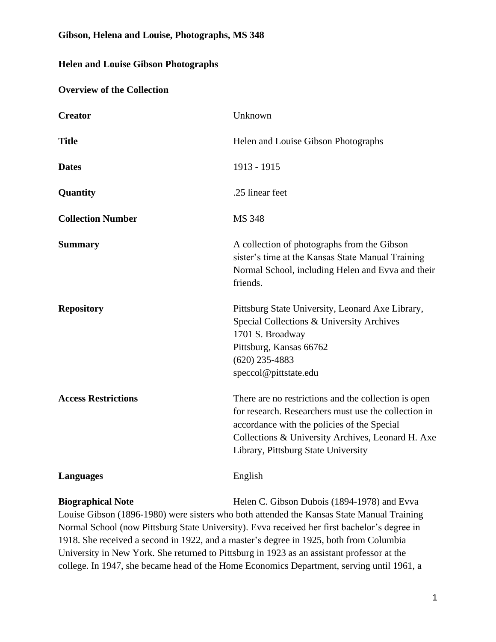### **Gibson, Helena and Louise, Photographs, MS 348**

### **Helen and Louise Gibson Photographs**

#### **Overview of the Collection**

| <b>Creator</b>             | Unknown                                                                                                                                                                                                                                                 |  |
|----------------------------|---------------------------------------------------------------------------------------------------------------------------------------------------------------------------------------------------------------------------------------------------------|--|
| <b>Title</b>               | Helen and Louise Gibson Photographs                                                                                                                                                                                                                     |  |
| <b>Dates</b>               | 1913 - 1915                                                                                                                                                                                                                                             |  |
| Quantity                   | .25 linear feet                                                                                                                                                                                                                                         |  |
| <b>Collection Number</b>   | <b>MS 348</b>                                                                                                                                                                                                                                           |  |
| <b>Summary</b>             | A collection of photographs from the Gibson<br>sister's time at the Kansas State Manual Training<br>Normal School, including Helen and Evva and their<br>friends.                                                                                       |  |
| <b>Repository</b>          | Pittsburg State University, Leonard Axe Library,<br>Special Collections & University Archives<br>1701 S. Broadway<br>Pittsburg, Kansas 66762<br>$(620)$ 235-4883<br>speccol@pittstate.edu                                                               |  |
| <b>Access Restrictions</b> | There are no restrictions and the collection is open<br>for research. Researchers must use the collection in<br>accordance with the policies of the Special<br>Collections & University Archives, Leonard H. Axe<br>Library, Pittsburg State University |  |
| <b>Languages</b>           | English                                                                                                                                                                                                                                                 |  |

**Biographical Note** Helen C. Gibson Dubois (1894-1978) and Evva

Louise Gibson (1896-1980) were sisters who both attended the Kansas State Manual Training Normal School (now Pittsburg State University). Evva received her first bachelor's degree in 1918. She received a second in 1922, and a master's degree in 1925, both from Columbia University in New York. She returned to Pittsburg in 1923 as an assistant professor at the college. In 1947, she became head of the Home Economics Department, serving until 1961, a